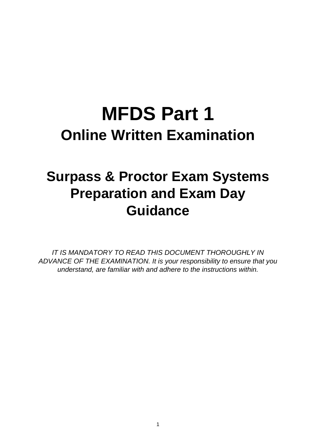# **MFDS Part 1 Online Written Examination**

## **Surpass & Proctor Exam Systems Preparation and Exam Day Guidance**

*IT IS MANDATORY TO READ THIS DOCUMENT THOROUGHLY IN ADVANCE OF THE EXAMINATION. It is your responsibility to ensure that you understand, are familiar with and adhere to the instructions within.*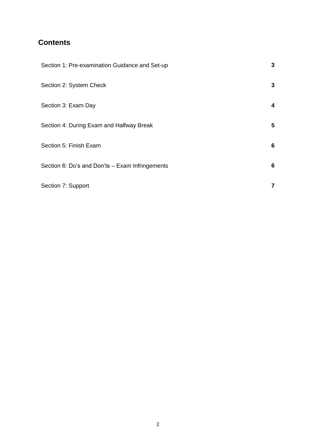### **Contents**

| Section 1: Pre-examination Guidance and Set-up  | 3  |
|-------------------------------------------------|----|
| Section 2: System Check                         | 3  |
| Section 3: Exam Day                             | 4  |
| Section 4: During Exam and Halfway Break        | 5. |
| Section 5: Finish Exam                          | 6  |
| Section 6: Do's and Don'ts - Exam Infringements | 6  |
| Section 7: Support                              | 7  |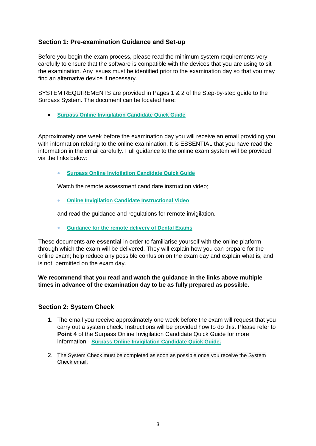#### **Section 1: Pre-examination Guidance and Set-up**

Before you begin the exam process, please read the minimum system requirements very carefully to ensure that the software is compatible with the devices that you are using to sit the examination. Any issues must be identified prior to the examination day so that you may find an alternative device if necessary.

SYSTEM REQUIREMENTS are provided in Pages 1 & 2 of the Step-by-step guide to the Surpass System. The document can be located here:

**[Surpass Online Invigilation Candidate Quick Guide](https://scanmail.trustwave.com/?c=7906&d=rbjI4MdnQyIUR6NL7QEqY2qxbPJBwJyY8LY5IQb1Wg&u=https%3a%2f%2fwww%2ercseng%2eac%2euk%2f-%2fmedia%2ffiles%2frcs%2feducation-and-exams%2fexams%2fremote-delivery-docs%2fsurpass-online-invigilation-candidate-quick-guide%2epdf)**

Approximately one week before the examination day you will receive an email providing you with information relating to the online examination. It is ESSENTIAL that you have read the information in the email carefully. Full guidance to the online exam system will be provided via the links below:

**[Surpass Online Invigilation Candidate Quick Guide](https://scanmail.trustwave.com/?c=7906&d=rbjI4MdnQyIUR6NL7QEqY2qxbPJBwJyY8LY5IQb1Wg&u=https%3a%2f%2fwww%2ercseng%2eac%2euk%2f-%2fmedia%2ffiles%2frcs%2feducation-and-exams%2fexams%2fremote-delivery-docs%2fsurpass-online-invigilation-candidate-quick-guide%2epdf)**

Watch the remote assessment candidate instruction video;

**[Online Invigilation Candidate Instructional Video](https://scanmail.trustwave.com/?c=7906&d=rbjI4MdnQyIUR6NL7QEqY2qxbPJBwJyY8Lc8IVnwWQ&u=https%3a%2f%2fyoutu%2ebe%2fxsi0an49ISM)**

and read the guidance and regulations for remote invigilation.

**[Guidance for the remote delivery of Dental Exams](https://scanmail.trustwave.com/?c=7906&d=rbjI4MdnQyIUR6NL7QEqY2qxbPJBwJyY8OdpKgymXg&u=https%3a%2f%2fwww%2ercseng%2eac%2euk%2feducation-and-exams%2fexams%2fdental-examination-online-delivery%2f)**

These documents **are essential** in order to familiarise yourself with the online platform through which the exam will be delivered. They will explain how you can prepare for the online exam; help reduce any possible confusion on the exam day and explain what is, and is not, permitted on the exam day.

**We recommend that you read and watch the guidance in the links above multiple times in advance of the examination day to be as fully prepared as possible.**

#### **Section 2: System Check**

- 1. The email you receive approximately one week before the exam will request that you carry out a system check. Instructions will be provided how to do this. Please refer to **Point 4** of the Surpass Online Invigilation Candidate Quick Guide for more information - **[Surpass Online Invigilation Candidate Quick Guide.](https://scanmail.trustwave.com/?c=7906&d=rbjI4MdnQyIUR6NL7QEqY2qxbPJBwJyY8LY5IQb1Wg&u=https%3a%2f%2fwww%2ercseng%2eac%2euk%2f-%2fmedia%2ffiles%2frcs%2feducation-and-exams%2fexams%2fremote-delivery-docs%2fsurpass-online-invigilation-candidate-quick-guide%2epdf)**
- 2. The System Check must be completed as soon as possible once you receive the System Check email.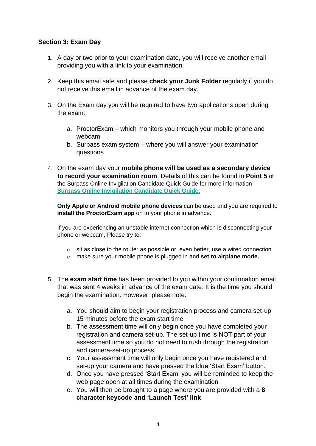#### **Section 3: Exam Day**

- 1. A day or two prior to your examination date, you will receive another email providing you with a link to your examination.
- 2. Keep this email safe and please **check your Junk Folder** regularly if you do not receive this email in advance of the exam day.
- 3. On the Exam day you will be required to have two applications open during the exam:
	- a. ProctorExam which monitors you through your mobile phone and webcam
	- b. Surpass exam system where you will answer your examination questions
- 4. On the exam day your **mobile phone will be used as a secondary device to record your examination room**. Details of this can be found in **Point 5** of the Surpass Online Invigilation Candidate Quick Guide for more information - **[Surpass Online Invigilation Candidate Quick Guide.](https://scanmail.trustwave.com/?c=7906&d=rbjI4MdnQyIUR6NL7QEqY2qxbPJBwJyY8LY5IQb1Wg&u=https%3a%2f%2fwww%2ercseng%2eac%2euk%2f-%2fmedia%2ffiles%2frcs%2feducation-and-exams%2fexams%2fremote-delivery-docs%2fsurpass-online-invigilation-candidate-quick-guide%2epdf)**

**Only Apple or Android mobile phone devices** can be used and you are required to **install the ProctorExam app** on to your phone in advance.

If you are experiencing an unstable internet connection which is disconnecting your phone or webcam, Please try to:

- $\circ$  sit as close to the router as possible or, even better, use a wired connection
- o make sure your mobile phone is plugged in and **set to airplane mode.**
- 5. The **exam start time** has been provided to you within your confirmation email that was sent 4 weeks in advance of the exam date. It is the time you should begin the examination. However, please note:
	- a. You should aim to begin your registration process and camera set-up 15 minutes before the exam start time
	- b. The assessment time will only begin once you have completed your registration and camera set-up. The set-up time is NOT part of your assessment time so you do not need to rush through the registration and camera-set-up process.
	- c. Your assessment time will only begin once you have registered and set-up your camera and have pressed the blue 'Start Exam' button.
	- d. Once you have pressed 'Start Exam' you will be reminded to keep the web page open at all times during the examination
	- e. You will then be brought to a page where you are provided with a **8 character keycode and 'Launch Test' link**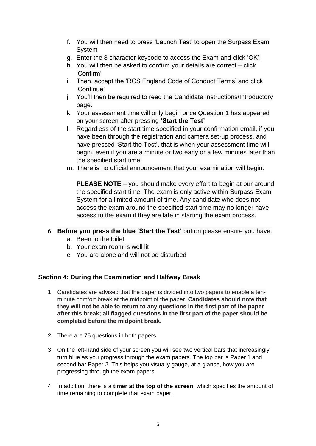- f. You will then need to press 'Launch Test' to open the Surpass Exam System
- g. Enter the 8 character keycode to access the Exam and click 'OK'.
- h. You will then be asked to confirm your details are correct click 'Confirm'
- i. Then, accept the 'RCS England Code of Conduct Terms' and click 'Continue'
- j. You'll then be required to read the Candidate Instructions/Introductory page.
- k. Your assessment time will only begin once Question 1 has appeared on your screen after pressing **'Start the Test'**
- l. Regardless of the start time specified in your confirmation email, if you have been through the registration and camera set-up process, and have pressed 'Start the Test', that is when your assessment time will begin, even if you are a minute or two early or a few minutes later than the specified start time.
- m. There is no official announcement that your examination will begin.

**PLEASE NOTE** – you should make every effort to begin at our around the specified start time. The exam is only active within Surpass Exam System for a limited amount of time. Any candidate who does not access the exam around the specified start time may no longer have access to the exam if they are late in starting the exam process.

#### 6. **Before you press the blue 'Start the Test'** button please ensure you have:

- a. Been to the toilet
- b. Your exam room is well lit
- c. You are alone and will not be disturbed

#### **Section 4: During the Examination and Halfway Break**

- 1. Candidates are advised that the paper is divided into two papers to enable a tenminute comfort break at the midpoint of the paper. **Candidates should note that they will not be able to return to any questions in the first part of the paper after this break; all flagged questions in the first part of the paper should be completed before the midpoint break.**
- 2. There are 75 questions in both papers
- 3. On the left-hand side of your screen you will see two vertical bars that increasingly turn blue as you progress through the exam papers. The top bar is Paper 1 and second bar Paper 2. This helps you visually gauge, at a glance, how you are progressing through the exam papers.
- 4. In addition, there is a **timer at the top of the screen**, which specifies the amount of time remaining to complete that exam paper.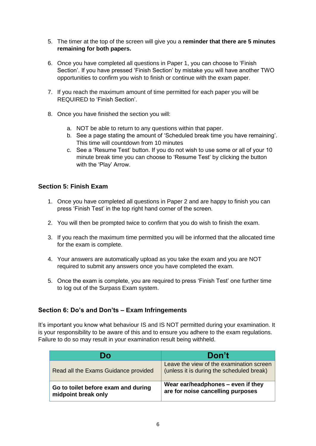- 5. The timer at the top of the screen will give you a **reminder that there are 5 minutes remaining for both papers.**
- 6. Once you have completed all questions in Paper 1, you can choose to 'Finish Section'. If you have pressed 'Finish Section' by mistake you will have another TWO opportunities to confirm you wish to finish or continue with the exam paper.
- 7. If you reach the maximum amount of time permitted for each paper you will be REQUIRED to 'Finish Section'.
- 8. Once you have finished the section you will:
	- a. NOT be able to return to any questions within that paper.
	- b. See a page stating the amount of 'Scheduled break time you have remaining'. This time will countdown from 10 minutes
	- c. See a 'Resume Test' button. If you do not wish to use some or all of your 10 minute break time you can choose to 'Resume Test' by clicking the button with the 'Play' Arrow.

#### **Section 5: Finish Exam**

- 1. Once you have completed all questions in Paper 2 and are happy to finish you can press 'Finish Test' in the top right hand corner of the screen.
- 2. You will then be prompted twice to confirm that you do wish to finish the exam.
- 3. If you reach the maximum time permitted you will be informed that the allocated time for the exam is complete.
- 4. Your answers are automatically upload as you take the exam and you are NOT required to submit any answers once you have completed the exam.
- 5. Once the exam is complete, you are required to press 'Finish Test' one further time to log out of the Surpass Exam system.

#### **Section 6: Do's and Don'ts – Exam Infringements**

It's important you know what behaviour IS and IS NOT permitted during your examination. It is your responsibility to be aware of this and to ensure you adhere to the exam regulations. Failure to do so may result in your examination result being withheld.

| Do                                                         | Don't                                                                                 |
|------------------------------------------------------------|---------------------------------------------------------------------------------------|
| Read all the Exams Guidance provided                       | Leave the view of the examination screen<br>(unless it is during the scheduled break) |
| Go to toilet before exam and during<br>midpoint break only | Wear ear/headphones – even if they<br>are for noise cancelling purposes               |